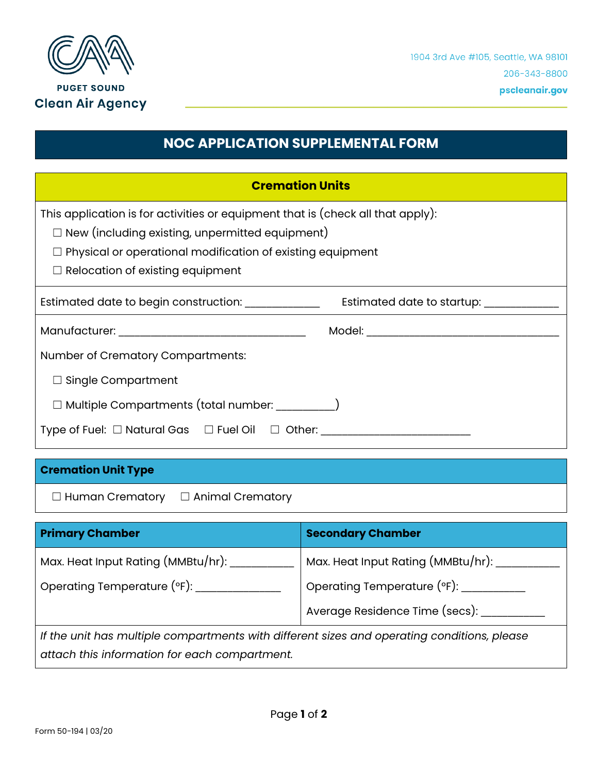

## **NOC APPLICATION SUPPLEMENTAL FORM**

| <b>Cremation Units</b>                                                                          |  |  |
|-------------------------------------------------------------------------------------------------|--|--|
| This application is for activities or equipment that is (check all that apply):                 |  |  |
| $\Box$ New (including existing, unpermitted equipment)                                          |  |  |
| $\Box$ Physical or operational modification of existing equipment                               |  |  |
| $\Box$ Relocation of existing equipment                                                         |  |  |
| Estimated date to begin construction: _____________<br>Estimated date to startup: _____________ |  |  |
|                                                                                                 |  |  |
| Number of Crematory Compartments:                                                               |  |  |
| $\Box$ Single Compartment                                                                       |  |  |
| □ Multiple Compartments (total number: _________)                                               |  |  |
| Type of Fuel: □ Natural Gas □ Fuel Oil □ Other: ________________________________                |  |  |

## **Cremation Unit Type**

☐ Human Crematory ☐ Animal Crematory

| <b>Primary Chamber</b>                                                                      | <b>Secondary Chamber</b>           |  |
|---------------------------------------------------------------------------------------------|------------------------------------|--|
| Max. Heat Input Rating (MMBtu/hr):                                                          | Max. Heat Input Rating (MMBtu/hr): |  |
| Operating Temperature (°F):                                                                 | Operating Temperature (°F): ______ |  |
|                                                                                             | Average Residence Time (secs):     |  |
| If the unit has multiple compartments with different sizes and operating conditions, please |                                    |  |

*attach this information for each compartment.*